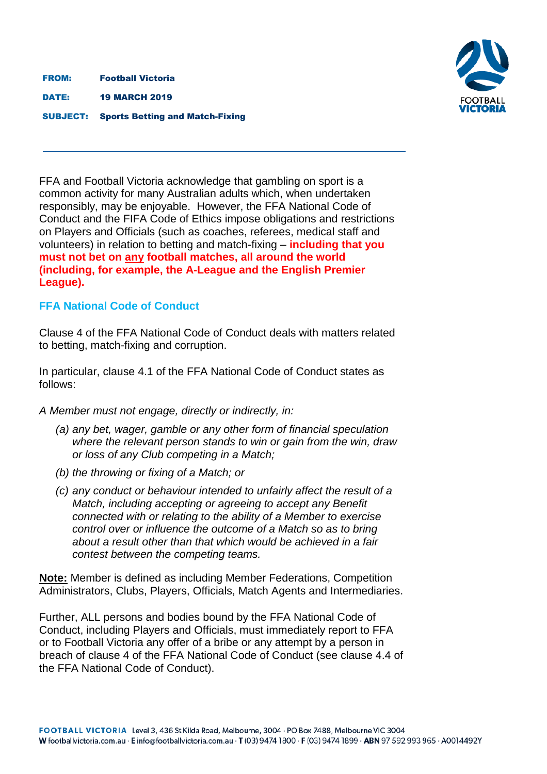FROM: Football Victoria

DATE: 19 MARCH 2019

SUBJECT: Sports Betting and Match-Fixing



FFA and Football Victoria acknowledge that gambling on sport is a common activity for many Australian adults which, when undertaken responsibly, may be enjoyable. However, the FFA National Code of Conduct and the FIFA Code of Ethics impose obligations and restrictions on Players and Officials (such as coaches, referees, medical staff and volunteers) in relation to betting and match-fixing – **including that you must not bet on any football matches, all around the world (including, for example, the A-League and the English Premier League).**

## **[FFA National Code of Conduct](https://www.ffa.com.au/sites/ffa/files/2018-01/17-0113%20-%20FFA%20CODE%20OF%20CONDUCT%20%28final%29.pdf)**

Clause 4 of the FFA National Code of Conduct deals with matters related to betting, match-fixing and corruption.

In particular, clause 4.1 of the FFA National Code of Conduct states as follows:

*A Member must not engage, directly or indirectly, in:*

- *(a) any bet, wager, gamble or any other form of financial speculation where the relevant person stands to win or gain from the win, draw or loss of any Club competing in a Match;*
- *(b) the throwing or fixing of a Match; or*
- *(c) any conduct or behaviour intended to unfairly affect the result of a Match, including accepting or agreeing to accept any Benefit connected with or relating to the ability of a Member to exercise control over or influence the outcome of a Match so as to bring about a result other than that which would be achieved in a fair contest between the competing teams.*

**Note:** Member is defined as including Member Federations, Competition Administrators, Clubs, Players, Officials, Match Agents and Intermediaries.

Further, ALL persons and bodies bound by the FFA National Code of Conduct, including Players and Officials, must immediately report to FFA or to Football Victoria any offer of a bribe or any attempt by a person in breach of clause 4 of the FFA National Code of Conduct (see clause 4.4 of the FFA National Code of Conduct).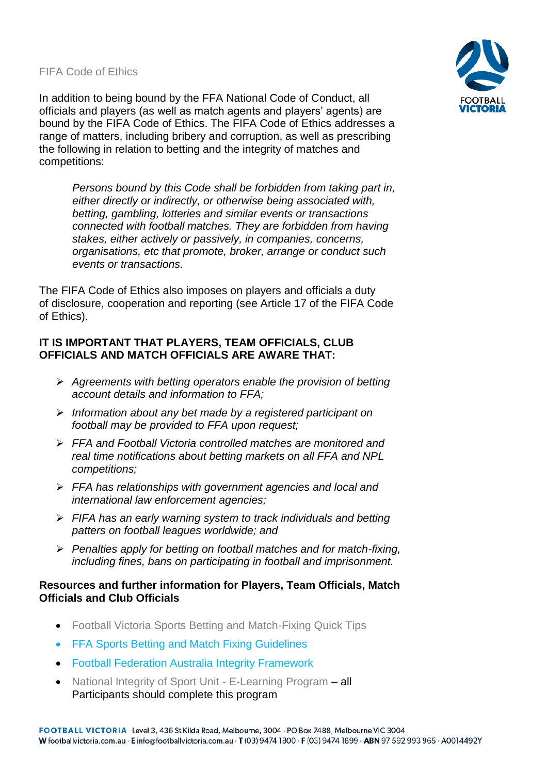[FIFA Code of Ethics](https://www.ffa.com.au/sites/ffa/files/2018-09/FIFA%20Code%20of%20Ethics%202018.pdf)

In addition to being bound by the FFA National Code of Conduct, all officials and players (as well as match agents and players' agents) are bound by the FIFA Code of Ethics. The FIFA Code of Ethics addresses a range of matters, including bribery and corruption, as well as prescribing the following in relation to betting and the integrity of matches and competitions:

*Persons bound by this Code shall be forbidden from taking part in, either directly or indirectly, or otherwise being associated with, betting, gambling, lotteries and similar events or transactions connected with football matches. They are forbidden from having stakes, either actively or passively, in companies, concerns, organisations, etc that promote, broker, arrange or conduct such events or transactions.*

The FIFA Code of Ethics also imposes on players and officials a duty of disclosure, cooperation and reporting (see Article 17 of the FIFA Code of Ethics).

## **IT IS IMPORTANT THAT PLAYERS, TEAM OFFICIALS, CLUB OFFICIALS AND MATCH OFFICIALS ARE AWARE THAT:**

- ➢ *Agreements with betting operators enable the provision of betting account details and information to FFA;*
- ➢ *Information about any bet made by a registered participant on football may be provided to FFA upon request;*
- ➢ *FFA and Football Victoria controlled matches are monitored and real time notifications about betting markets on all FFA and NPL competitions;*
- ➢ *FFA has relationships with government agencies and local and international law enforcement agencies;*
- ➢ *FIFA has an early warning system to track individuals and betting patters on football leagues worldwide; and*
- ➢ *Penalties apply for betting on football matches and for match-fixing, including fines, bans on participating in football and imprisonment.*

## **Resources and further information for Players, Team Officials, Match Officials and Club Officials**

- Football Victoria [Sports Betting and Match-Fixing Quick Tips](mailto:https://www.footballvictoria.com.au/sites/ffv/files/2019-03/FV%202019%20Integrity%20Quick%20Tips.pdf)
- [FFA Sports Betting and Match Fixing Guidelines](https://www.ffa.com.au/sites/ffa/files/2017-09/FFA%20Sports%20Betting%20and%20Match%20Fixing%20Guidelines.pdf)
- [Football Federation Australia Integrity Framework](https://www.ffa.com.au/governance/ffa-integrity-framework)
- [National Integrity of Sport Unit -](https://elearning.sport.gov.au/) E-Learning Program all Participants should complete this program